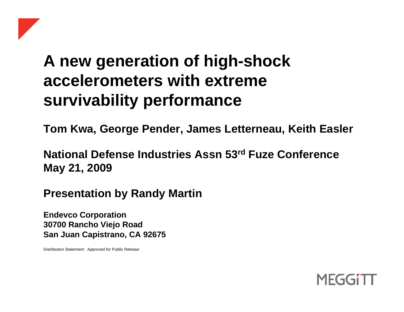# **A new generation of high-shock accelerometers with extreme survivability performance**

**Tom Kwa, George Pender, James Letterneau, Keith Easler** 

**National Defense Industries Assn 53rd Fuze Conference May 21, 2009** 

**Presentation by Randy Martin** 

**Endevco Corporation 30700 Rancho Viejo Road San Juan Capistrano, CA 92675**

Distribution Statement: Approved for Public Release

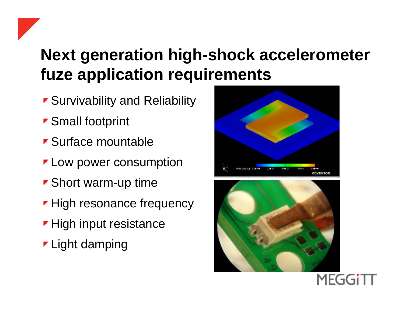# **Next generation high-shock accelerometer fuze application requirements**

- **Survivability and Reliability**
- ▼ Small footprint
- **Surface mountable**
- **Low power consumption**
- **Short warm-up time**
- **High resonance frequency**
- **High input resistance**
- **Light damping**



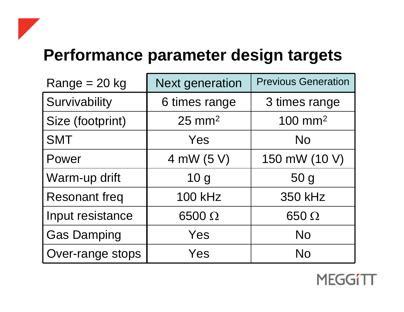# **Performance parameter design targets**

| $Range = 20 kg$      | <b>Next generation</b> | <b>Previous Generation</b> |
|----------------------|------------------------|----------------------------|
| Survivability        | 6 times range          | 3 times range              |
| Size (footprint)     | $25 \text{ mm}^2$      | $100$ mm <sup>2</sup>      |
| <b>SMT</b>           | Yes                    | <b>No</b>                  |
| Power                | 4 mW (5 V)             | 150 mW (10 V)              |
| Warm-up drift        | 10 <sub>g</sub>        | 50 <sub>g</sub>            |
| <b>Resonant freq</b> | <b>100 kHz</b>         | <b>350 kHz</b>             |
| Input resistance     | $6500 \Omega$          | $650 \Omega$               |
| <b>Gas Damping</b>   | Yes                    | <b>No</b>                  |
| Over-range stops     | Yes                    | <b>No</b>                  |

**MEGGi1**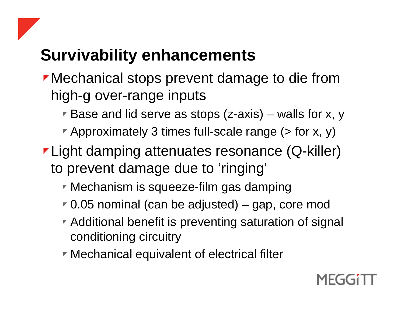# **Survivability enhancements**

- Mechanical stops prevent damage to die from high-g over-range inputs
	- **Base and lid serve as stops (z-axis)** walls for x, y
	- Approximately 3 times full-scale range  $($  > for x, y)
- **Light damping attenuates resonance (Q-killer)** to prevent damage due to 'ringing'
	- **Mechanism is squeeze-film gas damping**
	- 0.05 nominal (can be adjusted) gap, core mod
	- **Additional benefit is preventing saturation of signal** conditioning circuitry
	- **Mechanical equivalent of electrical filter**

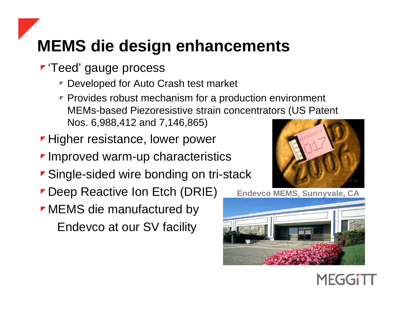# **MEMS die design enhancements**

- **F** 'Teed' gauge process
	- Developed for Auto Crash test market
	- $\blacktriangleright$  Provides robust mechanism for a production environment MEMs-based Piezoresistive strain concentrators (US Patent Nos. 6,988,412 and 7,146,865)
- **Higher resistance, lower power**
- **Improved warm-up characteristics**
- **Single-sided wire bonding on tri-stack**
- **Deep Reactive Ion Etch (DRIE)**
- **MEMS** die manufactured by Endevco at our SV facility



MFGG

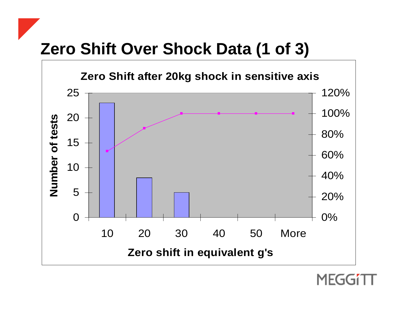## **Zero Shift Over Shock Data (1 of 3)**



MFG.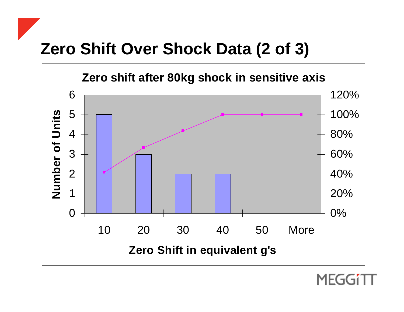## **Zero Shift Over Shock Data (2 of 3)**



MEGG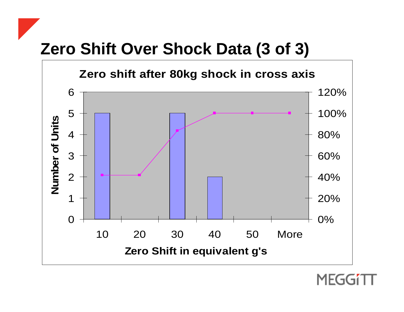## **Zero Shift Over Shock Data (3 of 3)**



MEG(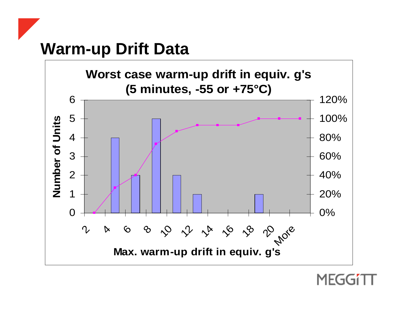## **Warm-up Drift Data**



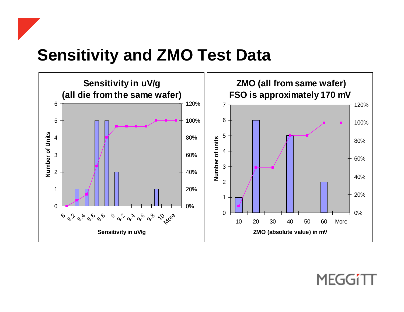#### **Sensitivity and ZMO Test Data**



#### MEGGI